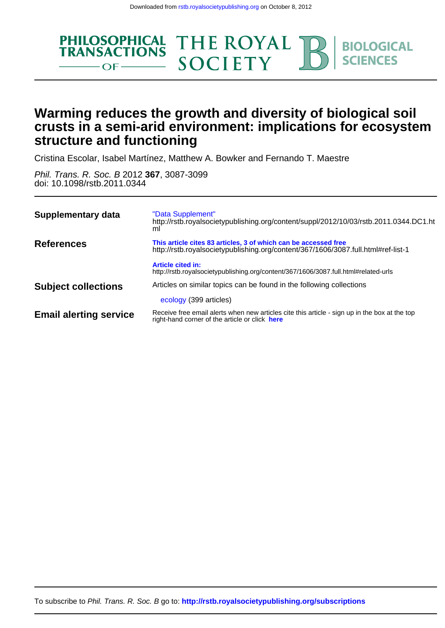

## **structure and functioning crusts in a semi-arid environment: implications for ecosystem Warming reduces the growth and diversity of biological soil**

Cristina Escolar, Isabel Martínez, Matthew A. Bowker and Fernando T. Maestre

doi: 10.1098/rstb.2011.0344 Phil. Trans. R. Soc. B 2012 **367**, 3087-3099

| Supplementary data            | "Data Supplement"<br>http://rstb.royalsocietypublishing.org/content/suppl/2012/10/03/rstb.2011.0344.DC1.ht<br>ml                                     |
|-------------------------------|------------------------------------------------------------------------------------------------------------------------------------------------------|
| <b>References</b>             | This article cites 83 articles, 3 of which can be accessed free<br>http://rstb.royalsocietypublishing.org/content/367/1606/3087.full.html#ref-list-1 |
|                               | <b>Article cited in:</b><br>http://rstb.royalsocietypublishing.org/content/367/1606/3087.full.html#related-urls                                      |
| <b>Subject collections</b>    | Articles on similar topics can be found in the following collections                                                                                 |
|                               | ecology (399 articles)                                                                                                                               |
| <b>Email alerting service</b> | Receive free email alerts when new articles cite this article - sign up in the box at the top<br>right-hand corner of the article or click here      |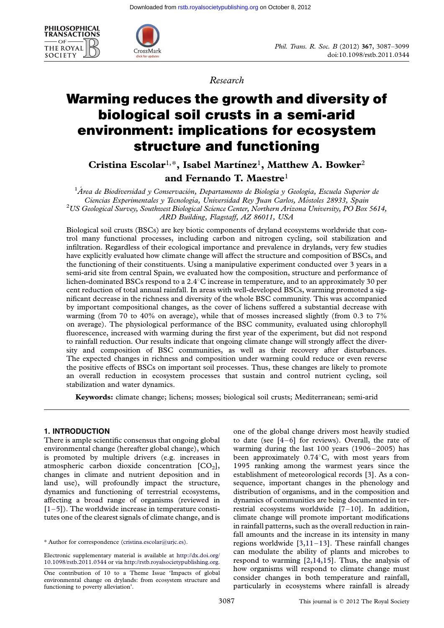



Phil. Trans. R. Soc. B (2012) 367, 3087–3099 doi:10.1098/rstb.2011.0344

Research

# Warming reduces the growth and diversity of biological soil crusts in a semi-arid environment: implications for ecosystem structure and functioning

Cristina Escolar<sup>1,\*</sup>, Isabel Martínez<sup>1</sup>, Matthew A. Bowker<sup>2</sup>

and Fernando T. Maestre $<sup>1</sup>$ </sup>

 $^1$ Área de Biodiversidad y Conservación, Departamento de Biología y Geología, Escuela Superior de Ciencias Experimentales y Tecnología, Universidad Rey Juan Carlos, Móstoles 28933, Spain  $^{2}$ US Geological Survey, Southwest Biological Science Center, Northern Arizona University, PO Box 5614, ARD Building, Flagstaff, AZ 86011, USA

Biological soil crusts (BSCs) are key biotic components of dryland ecosystems worldwide that control many functional processes, including carbon and nitrogen cycling, soil stabilization and infiltration. Regardless of their ecological importance and prevalence in drylands, very few studies have explicitly evaluated how climate change will affect the structure and composition of BSCs, and the functioning of their constituents. Using a manipulative experiment conducted over 3 years in a semi-arid site from central Spain, we evaluated how the composition, structure and performance of lichen-dominated BSCs respond to a  $2.4^{\circ}$ C increase in temperature, and to an approximately 30 per cent reduction of total annual rainfall. In areas with well-developed BSCs, warming promoted a significant decrease in the richness and diversity of the whole BSC community. This was accompanied by important compositional changes, as the cover of lichens suffered a substantial decrease with warming (from 70 to 40% on average), while that of mosses increased slightly (from 0.3 to 7% on average). The physiological performance of the BSC community, evaluated using chlorophyll fluorescence, increased with warming during the first year of the experiment, but did not respond to rainfall reduction. Our results indicate that ongoing climate change will strongly affect the diversity and composition of BSC communities, as well as their recovery after disturbances. The expected changes in richness and composition under warming could reduce or even reverse the positive effects of BSCs on important soil processes. Thus, these changes are likely to promote an overall reduction in ecosystem processes that sustain and control nutrient cycling, soil stabilization and water dynamics.

Keywords: climate change; lichens; mosses; biological soil crusts; Mediterranean; semi-arid

## 1. INTRODUCTION

There is ample scientific consensus that ongoing global environmental change (hereafter global change), which is promoted by multiple drivers (e.g. increases in atmospheric carbon dioxide concentration  $[CO<sub>2</sub>]$ , changes in climate and nutrient deposition and in land use), will profoundly impact the structure, dynamics and functioning of terrestrial ecosystems, affecting a broad range of organisms (reviewed in  $[1–5]$  $[1–5]$  $[1–5]$  $[1–5]$ ). The worldwide increase in temperature constitutes one of the clearest signals of climate change, and is

\* Author for correspondence [\(cristina.escolar@urjc.es\)](mailto:cristina.escolar@urjc.es).

Electronic supplementary material is available at [http://dx.doi.org/](http://dx.doi.org/10.1098/rstb.2011.0344) [10.1098/rstb.2011.0344](http://dx.doi.org/10.1098/rstb.2011.0344) or via [http://rstb.royalsocietypublishing.org.](http://rstb.royalsocietypublishing.org)

one of the global change drivers most heavily studied to date (see [\[4](#page-10-0)–[6](#page-10-0)] for reviews). Overall, the rate of warming during the last  $100$  years  $(1906 - 2005)$  has been approximately  $0.74^{\circ}$ C, with most years from 1995 ranking among the warmest years since the establishment of meteorological records [[3](#page-10-0)]. As a consequence, important changes in the phenology and distribution of organisms, and in the composition and dynamics of communities are being documented in terrestrial ecosystems worldwide [[7](#page-10-0)–[10\]](#page-11-0). In addition, climate change will promote important modifications in rainfall patterns, such as the overall reduction in rainfall amounts and the increase in its intensity in many regions worldwide  $[3,11-13]$  $[3,11-13]$  $[3,11-13]$  $[3,11-13]$ . These rainfall changes can modulate the ability of plants and microbes to respond to warming  $[2,14,15]$  $[2,14,15]$  $[2,14,15]$  $[2,14,15]$ . Thus, the analysis of how organisms will respond to climate change must consider changes in both temperature and rainfall, particularly in ecosystems where rainfall is already

One contribution of 10 to a Theme Issue 'Impacts of global environmental change on drylands: from ecosystem structure and functioning to poverty alleviation'.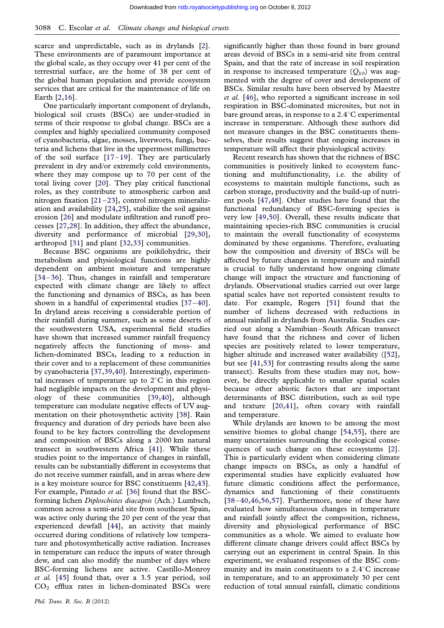scarce and unpredictable, such as in drylands [\[2\]](#page-10-0). These environments are of paramount importance at the global scale, as they occupy over 41 per cent of the terrestrial surface, are the home of 38 per cent of the global human population and provide ecosystem services that are critical for the maintenance of life on Earth [\[2,](#page-10-0)[16\]](#page-11-0).

One particularly important component of drylands, biological soil crusts (BSCs) are under-studied in terms of their response to global change. BSCs are a complex and highly specialized community composed of cyanobacteria, algae, mosses, liverworts, fungi, bacteria and lichens that live in the uppermost millimetres of the soil surface  $[17-19]$  $[17-19]$  $[17-19]$  $[17-19]$ . They are particularly prevalent in dry and/or extremely cold environments, where they may compose up to 70 per cent of the total living cover [\[20](#page-11-0)]. They play critical functional roles, as they contribute to atmospheric carbon and nitrogen fixation [[21](#page-11-0)–[23\]](#page-11-0), control nitrogen mineralization and availability [\[24,25](#page-11-0)], stabilize the soil against erosion [[26\]](#page-11-0) and modulate infiltration and runoff processes [[27,28\]](#page-11-0). In addition, they affect the abundance, diversity and performance of microbial [[29,30\]](#page-11-0), arthropod [\[31](#page-11-0)] and plant [\[32,33](#page-11-0)] communities.

Because BSC organisms are poikilohydric, their metabolism and physiological functions are highly dependent on ambient moisture and temperature [\[34](#page-11-0)–[36](#page-11-0)]. Thus, changes in rainfall and temperature expected with climate change are likely to affect the functioning and dynamics of BSCs, as has been shown in a handful of experimental studies [[37](#page-12-0)–[40\]](#page-12-0). In dryland areas receiving a considerable portion of their rainfall during summer, such as some deserts of the southwestern USA, experimental field studies have shown that increased summer rainfall frequency negatively affects the functioning of moss- and lichen-dominated BSCs, leading to a reduction in their cover and to a replacement of these communities by cyanobacteria [[37,39,40\]](#page-12-0). Interestingly, experimental increases of temperature up to  $2^{\circ}$ C in this region had negligible impacts on the development and physiology of these communities [[39,40\]](#page-12-0), although temperature can modulate negative effects of UV augmentation on their photosynthetic activity [\[38](#page-12-0)]. Rain frequency and duration of dry periods have been also found to be key factors controlling the development and composition of BSCs along a 2000 km natural transect in southwestern Africa [\[41](#page-12-0)]. While these studies point to the importance of changes in rainfall, results can be substantially different in ecosystems that do not receive summer rainfall, and in areas where dew is a key moisture source for BSC constituents [[42,43\]](#page-12-0). For example, Pintado et al. [\[36](#page-11-0)] found that the BSCforming lichen Diploschistes diacapsis (Ach.) Lumbsch, common across a semi-arid site from southeast Spain, was active only during the 20 per cent of the year that experienced dewfall [[44\]](#page-12-0), an activity that mainly occurred during conditions of relatively low temperature and photosynthetically active radiation. Increases in temperature can reduce the inputs of water through dew, and can also modify the number of days where BSC-forming lichens are active. Castillo-Monroy et al. [\[45](#page-12-0)] found that, over a 3.5 year period, soil  $CO<sub>2</sub>$  efflux rates in lichen-dominated BSCs were

significantly higher than those found in bare ground areas devoid of BSCs in a semi-arid site from central Spain, and that the rate of increase in soil respiration in response to increased temperature  $(Q_{10})$  was augmented with the degree of cover and development of BSCs. Similar results have been observed by Maestre et al. [\[46](#page-12-0)], who reported a significant increase in soil respiration in BSC-dominated microsites, but not in bare ground areas, in response to a  $2.4^{\circ}$ C experimental increase in temperature. Although these authors did not measure changes in the BSC constituents themselves, their results suggest that ongoing increases in temperature will affect their physiological activity.

Recent research has shown that the richness of BSC communities is positively linked to ecosystem functioning and multifunctionality, i.e. the ability of ecosystems to maintain multiple functions, such as carbon storage, productivity and the build-up of nutrient pools [[47,48](#page-12-0)]. Other studies have found that the functional redundancy of BSC-forming species is very low [\[49,50](#page-12-0)]. Overall, these results indicate that maintaining species-rich BSC communities is crucial to maintain the overall functionality of ecosystems dominated by these organisms. Therefore, evaluating how the composition and diversity of BSCs will be affected by future changes in temperature and rainfall is crucial to fully understand how ongoing climate change will impact the structure and functioning of drylands. Observational studies carried out over large spatial scales have not reported consistent results to date. For example, Rogers [\[51](#page-12-0)] found that the number of lichens decreased with reductions in annual rainfall in drylands from Australia. Studies carried out along a Namibian –South African transect have found that the richness and cover of lichen species are positively related to lower temperature, higher altitude and increased water availability ([[52\]](#page-12-0), but see [[41,53\]](#page-12-0) for contrasting results along the same transect). Results from these studies may not, however, be directly applicable to smaller spatial scales because other abiotic factors that are important determinants of BSC distribution, such as soil type and texture [[20,](#page-11-0)[41\]](#page-12-0), often covary with rainfall and temperature.

While drylands are known to be among the most sensitive biomes to global change [\[54,55](#page-12-0)], there are many uncertainties surrounding the ecological consequences of such change on these ecosystems [\[2\]](#page-10-0). This is particularly evident when considering climate change impacts on BSCs, as only a handful of experimental studies have explicitly evaluated how future climatic conditions affect the performance, dynamics and functioning of their constituents [\[38](#page-12-0)–[40,46,56](#page-12-0),[57](#page-12-0)]. Furthermore, none of these have evaluated how simultaneous changes in temperature and rainfall jointly affect the composition, richness, diversity and physiological performance of BSC communities as a whole. We aimed to evaluate how different climate change drivers could affect BSCs by carrying out an experiment in central Spain. In this experiment, we evaluated responses of the BSC community and its main constituents to a  $2.4^{\circ}$ C increase in temperature, and to an approximately 30 per cent reduction of total annual rainfall, climatic conditions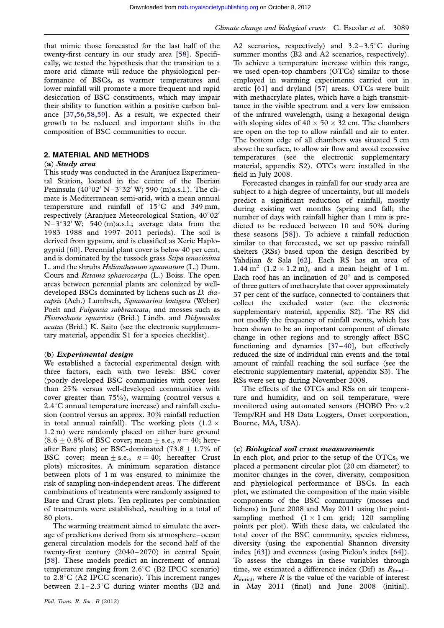that mimic those forecasted for the last half of the twenty-first century in our study area [\[58](#page-12-0)]. Specifically, we tested the hypothesis that the transition to a more arid climate will reduce the physiological performance of BSCs, as warmer temperatures and lower rainfall will promote a more frequent and rapid desiccation of BSC constituents, which may impair their ability to function within a positive carbon balance [\[37,56,58,59](#page-12-0)]. As a result, we expected their growth to be reduced and important shifts in the composition of BSC communities to occur.

#### 2. MATERIAL AND METHODS

#### (a) Study area

This study was conducted in the Aranjuez Experimental Station, located in the centre of the Iberian Peninsula  $(40^{\circ}02' N-3^{\circ}32' W; 590 (m)a.s.1)$ . The climate is Mediterranean semi-arid, with a mean annual temperature and rainfall of  $15^{\circ}$ C and 349 mm, respectively (Aranjuez Meteorological Station,  $40^{\circ}02'$  $N-3°32'$  W; 540 (m)a.s.l.; average data from the 1983–1988 and 1997–2011 periods). The soil is derived from gypsum, and is classified as Xeric Haplogypsid [\[60](#page-12-0)]. Perennial plant cover is below 40 per cent, and is dominated by the tussock grass Stipa tenacissima L. and the shrubs Helianthemum squamatum (L.) Dum. Cours and Retama sphaerocarpa (L.) Boiss. The open areas between perennial plants are colonized by welldeveloped BSCs dominated by lichens such as *D. dia*capsis (Ach.) Lumbsch, Squamarina lentigera (Weber) Poelt and Fulgensia subbracteata, and mosses such as Pleurochaete squarrosa (Brid.) Lindb. and Didymodon acutus (Brid.) K. Saito (see the electronic supplementary material, appendix S1 for a species checklist).

#### (b) Experimental design

We established a factorial experimental design with three factors, each with two levels: BSC cover (poorly developed BSC communities with cover less than 25% versus well-developed communities with cover greater than 75%), warming (control versus a  $2.4^{\circ}$ C annual temperature increase) and rainfall exclusion (control versus an approx. 30% rainfall reduction in total annual rainfall). The working plots (1.2  $\times$ 1.2 m) were randomly placed on either bare ground  $(8.6 \pm 0.8\% \text{ of BSC cover}; \text{mean} \pm \text{s.e.}, n = 40; \text{here-}$ after Bare plots) or BSC-dominated (73.8  $\pm$  1.7% of BSC cover; mean  $\pm$  s.e.,  $n = 40$ ; hereafter Crust plots) microsites. A minimum separation distance between plots of 1 m was ensured to minimize the risk of sampling non-independent areas. The different combinations of treatments were randomly assigned to Bare and Crust plots. Ten replicates per combination of treatments were established, resulting in a total of 80 plots.

The warming treatment aimed to simulate the average of predictions derived from six atmosphere –ocean general circulation models for the second half of the twenty-first century (2040-2070) in central Spain [[58\]](#page-12-0). These models predict an increment of annual temperature ranging from  $2.6^{\circ}$ C (B2 IPCC scenario) to  $2.8^{\circ}$ C (A2 IPCC scenario). This increment ranges between  $2.1 - 2.3$ °C during winter months (B2 and

A2 scenarios, respectively) and  $3.2-3.5^{\circ}$ C during summer months (B2 and A2 scenarios, respectively). To achieve a temperature increase within this range, we used open-top chambers (OTCs) similar to those employed in warming experiments carried out in arctic [[61\]](#page-12-0) and dryland [[57\]](#page-12-0) areas. OTCs were built with methacrylate plates, which have a high transmittance in the visible spectrum and a very low emission of the infrared wavelength, using a hexagonal design with sloping sides of  $40 \times 50 \times 32$  cm. The chambers are open on the top to allow rainfall and air to enter. The bottom edge of all chambers was situated 5 cm above the surface, to allow air flow and avoid excessive temperatures (see the electronic supplementary material, appendix S2). OTCs were installed in the field in July 2008.

Forecasted changes in rainfall for our study area are subject to a high degree of uncertainty, but all models predict a significant reduction of rainfall, mostly during existing wet months (spring and fall; the number of days with rainfall higher than 1 mm is predicted to be reduced between 10 and 50% during these seasons [[58\]](#page-12-0)). To achieve a rainfall reduction similar to that forecasted, we set up passive rainfall shelters (RSs) based upon the design described by Yahdjian & Sala [[62\]](#page-12-0). Each RS has an area of 1.44  $\text{m}^2$  (1.2 × 1.2 m), and a mean height of 1 m. Each roof has an inclination of  $20^{\circ}$  and is composed of three gutters of methacrylate that cover approximately 37 per cent of the surface, connected to containers that collect the excluded water (see the electronic supplementary material, appendix S2). The RS did not modify the frequency of rainfall events, which has been shown to be an important component of climate change in other regions and to strongly affect BSC functioning and dynamics [\[37](#page-12-0)–[40\]](#page-12-0), but effectively reduced the size of individual rain events and the total amount of rainfall reaching the soil surface (see the electronic supplementary material, appendix S3). The RSs were set up during November 2008.

The effects of the OTCs and RSs on air temperature and humidity, and on soil temperature, were monitored using automated sensors (HOBO Pro v.2 Temp/RH and H8 Data Loggers, Onset corporation, Bourne, MA, USA).

#### (c) Biological soil crust measurements

In each plot, and prior to the setup of the OTCs, we placed a permanent circular plot (20 cm diameter) to monitor changes in the cover, diversity, composition and physiological performance of BSCs. In each plot, we estimated the composition of the main visible components of the BSC community (mosses and lichens) in June 2008 and May 2011 using the pointsampling method  $(1 \times 1$  cm grid; 120 sampling points per plot). With these data, we calculated the total cover of the BSC community, species richness, diversity (using the exponential Shannon diversity index [\[63](#page-12-0)]) and evenness (using Pielou's index [\[64](#page-12-0)]). To assess the changes in these variables through time, we estimated a difference index (Dif) as  $R_{final}$  $R_{\text{initial}}$ , where  $R$  is the value of the variable of interest in May 2011 (final) and June 2008 (initial).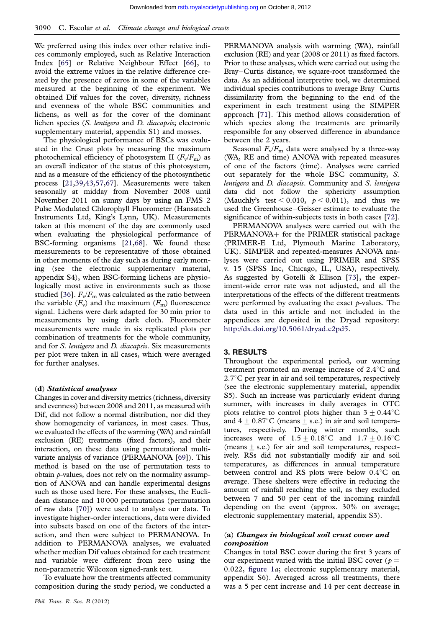We preferred using this index over other relative indices commonly employed, such as Relative Interaction Index [\[65](#page-12-0)] or Relative Neighbour Effect [\[66](#page-12-0)], to avoid the extreme values in the relative difference created by the presence of zeros in some of the variables measured at the beginning of the experiment. We obtained Dif values for the cover, diversity, richness and evenness of the whole BSC communities and lichens, as well as for the cover of the dominant lichen species (S. lentigera and D. diacapsis; electronic supplementary material, appendix S1) and mosses.

The physiological performance of BSCs was evaluated in the Crust plots by measuring the maximum photochemical efficiency of photosystem II  $(F_v/F_m)$  as an overall indicator of the status of this photosystem, and as a measure of the efficiency of the photosynthetic process [\[21,](#page-11-0)[39,43,57,](#page-12-0)[67\]](#page-13-0). Measurements were taken seasonally at midday from November 2008 until November 2011 on sunny days by using an FMS 2 Pulse Modulated Chlorophyll Fluorometer (Hansatech Instruments Ltd, King's Lynn, UK). Measurements taken at this moment of the day are commonly used when evaluating the physiological performance of BSC-forming organisms [[21](#page-11-0)[,68](#page-13-0)]. We found these measurements to be representative of those obtained in other moments of the day such as during early morning (see the electronic supplementary material, appendix S4), when BSC-forming lichens are physiologically most active in environments such as those studied [\[36](#page-11-0)].  $F_v/F_m$  was calculated as the ratio between the variable  $(F_v)$  and the maximum  $(F_m)$  fluorescence signal. Lichens were dark adapted for 30 min prior to measurements by using dark cloth. Fluorometer measurements were made in six replicated plots per combination of treatments for the whole community, and for S. lentigera and D. diacapsis. Six measurements per plot were taken in all cases, which were averaged for further analyses.

#### (d) Statistical analyses

Changes in cover and diversity metrics (richness, diversity and evenness) between 2008 and 2011, as measured with Dif, did not follow a normal distribution, nor did they show homogeneity of variances, in most cases. Thus, we evaluated the effects of the warming (WA) and rainfall exclusion (RE) treatments (fixed factors), and their interaction, on these data using permutational multivariate analysis of variance (PERMANOVA [[69](#page-13-0)]). This method is based on the use of permutation tests to obtain  $p$ -values, does not rely on the normality assumption of ANOVA and can handle experimental designs such as those used here. For these analyses, the Euclidean distance and 10 000 permutations (permutation of raw data [\[70](#page-13-0)]) were used to analyse our data. To investigate higher-order interactions, data were divided into subsets based on one of the factors of the interaction, and then were subject to PERMANOVA. In addition to PERMANOVA analyses, we evaluated whether median Dif values obtained for each treatment and variable were different from zero using the non-parametric Wilcoxon signed-rank test.

To evaluate how the treatments affected community composition during the study period, we conducted a

Phil. Trans. R. Soc. B (2012)

PERMANOVA analysis with warming (WA), rainfall exclusion (RE) and year (2008 or 2011) as fixed factors. Prior to these analyses, which were carried out using the Bray–Curtis distance, we square-root transformed the data. As an additional interpretive tool, we determined individual species contributions to average Bray–Curtis dissimilarity from the beginning to the end of the experiment in each treatment using the SIMPER approach [[71\]](#page-13-0). This method allows consideration of which species along the treatments are primarily responsible for any observed difference in abundance between the 2 years.

Seasonal  $F_v/F_m$  data were analysed by a three-way (WA, RE and time) ANOVA with repeated measures of one of the factors (time). Analyses were carried out separately for the whole BSC community, S. lentigera and D. diacapsis. Community and S. lentigera data did not follow the sphericity assumption (Mauchly's test  $< 0.010$ ,  $p < 0.011$ ), and thus we used the Greenhouse–Geisser estimate to evaluate the significance of within-subjects tests in both cases [[72\]](#page-13-0).

PERMANOVA analyses were carried out with the  $PERMANOVA+$  for the PRIMER statistical package (PRIMER-E Ltd, Plymouth Marine Laboratory, UK). SIMPER and repeated-measures ANOVA analyses were carried out using PRIMER and SPSS v. 15 (SPSS Inc, Chicago, IL, USA), respectively. As suggested by Gotelli & Ellison [[73](#page-13-0)], the experiment-wide error rate was not adjusted, and all the interpretations of the effects of the different treatments were performed by evaluating the exact  $p$ -values. The data used in this article and not included in the appendices are deposited in the Dryad repository: <http://dx.doi.org/10.5061/dryad.c2pd5>.

#### 3. RESULTS

Throughout the experimental period, our warming treatment promoted an average increase of  $2.4^{\circ}$ C and  $2.7^{\circ}$ C per year in air and soil temperatures, respectively (see the electronic supplementary material, appendix S5). Such an increase was particularly evident during summer, with increases in daily averages in OTC plots relative to control plots higher than  $3 \pm 0.44$ °C and  $4 \pm 0.87^{\circ}$ C (means  $\pm$  s.e.) in air and soil temperatures, respectively. During winter months, such increases were of  $1.5 \pm 0.18^{\circ}$ C and  $1.7 \pm 0.16^{\circ}$ C (means  $\pm$  s.e.) for air and soil temperatures, respectively. RSs did not substantially modify air and soil temperatures, as differences in annual temperature between control and RS plots were below  $0.4^{\circ}$ C on average. These shelters were effective in reducing the amount of rainfall reaching the soil, as they excluded between 7 and 50 per cent of the incoming rainfall depending on the event (approx. 30% on average; electronic supplementary material, appendix S3).

#### (a) Changes in biological soil crust cover and composition

Changes in total BSC cover during the first 3 years of our experiment varied with the initial BSC cover ( $p =$ 0.022, [figure 1](#page-5-0)a; electronic supplementary material, appendix S6). Averaged across all treatments, there was a 5 per cent increase and 14 per cent decrease in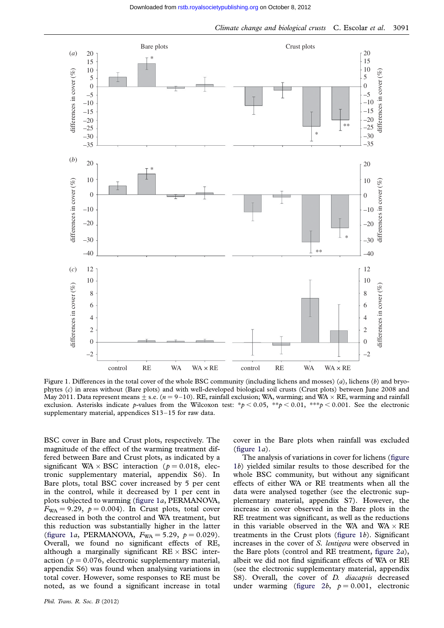<span id="page-5-0"></span>

Figure 1. Differences in the total cover of the whole BSC community (including lichens and mosses)  $(a)$ , lichens  $(b)$  and bryophytes  $(c)$  in areas without (Bare plots) and with well-developed biological soil crusts (Crust plots) between June 2008 and May 2011. Data represent means  $\pm$  s.e. ( $n=9$ –10). RE, rainfall exclusion; WA, warming; and WA  $\times$  RE, warming and rainfall exclusion. Asterisks indicate p-values from the Wilcoxon test: \*p < 0.05, \*\*p < 0.01, \*\*\*p < 0.001. See the electronic supplementary material, appendices S13-15 for raw data.

BSC cover in Bare and Crust plots, respectively. The magnitude of the effect of the warming treatment differed between Bare and Crust plots, as indicated by a significant WA  $\times$  BSC interaction ( $p = 0.018$ , electronic supplementary material, appendix S6). In Bare plots, total BSC cover increased by 5 per cent in the control, while it decreased by 1 per cent in plots subjected to warming (figure 1a, PERMANOVA,  $F_{WA} = 9.29$ ,  $p = 0.004$ ). In Crust plots, total cover decreased in both the control and WA treatment, but this reduction was substantially higher in the latter (figure 1*a*, PERMANOVA,  $F_{WA} = 5.29, p = 0.029$ ). Overall, we found no significant effects of RE, although a marginally significant  $RE \times BSC$  interaction ( $p = 0.076$ , electronic supplementary material, appendix S6) was found when analysing variations in total cover. However, some responses to RE must be noted, as we found a significant increase in total

cover in the Bare plots when rainfall was excluded (figure  $1a$ ).

The analysis of variations in cover for lichens (figure 1b) yielded similar results to those described for the whole BSC community, but without any significant effects of either WA or RE treatments when all the data were analysed together (see the electronic supplementary material, appendix S7). However, the increase in cover observed in the Bare plots in the RE treatment was significant, as well as the reductions in this variable observed in the WA and  $WA \times RE$ treatments in the Crust plots (figure 1b). Significant increases in the cover of S. lentigera were observed in the Bare plots (control and RE treatment, figure  $2a$ ), albeit we did not find significant effects of WA or RE (see the electronic supplementary material, appendix S8). Overall, the cover of D. diacapsis decreased under warming [\(figure 2](#page-6-0)b,  $p = 0.001$ , electronic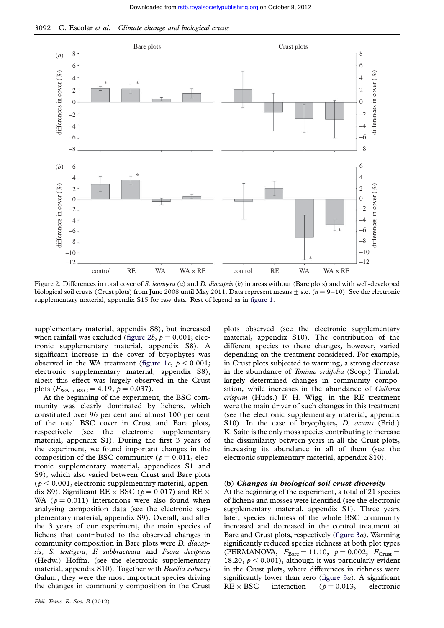<span id="page-6-0"></span>3092 C. Escolar et al. Climate change and biological crusts



Figure 2. Differences in total cover of S. lentigera (a) and D. diacapsis (b) in areas without (Bare plots) and with well-developed biological soil crusts (Crust plots) from June 2008 until May 2011. Data represent means  $\pm$  s.e. ( $n = 9-10$ ). See the electronic supplementary material, appendix S15 for raw data. Rest of legend as in [figure 1](#page-5-0).

supplementary material, appendix S8), but increased when rainfall was excluded (figure 2b,  $p = 0.001$ ; electronic supplementary material, appendix S8). A significant increase in the cover of bryophytes was observed in the WA treatment [\(figure 1](#page-5-0)c,  $p < 0.001$ ; electronic supplementary material, appendix S8), albeit this effect was largely observed in the Crust plots  $(F_{\text{WA} \times \text{BSC}} = 4.19, p = 0.037)$ .

At the beginning of the experiment, the BSC community was clearly dominated by lichens, which constituted over 96 per cent and almost 100 per cent of the total BSC cover in Crust and Bare plots, respectively (see the electronic supplementary material, appendix S1). During the first 3 years of the experiment, we found important changes in the composition of the BSC community ( $p = 0.011$ , electronic supplementary material, appendices S1 and S9), which also varied between Crust and Bare plots  $(p < 0.001,$  electronic supplementary material, appendix S9). Significant RE  $\times$  BSC ( $p = 0.017$ ) and RE  $\times$ WA ( $p = 0.011$ ) interactions were also found when analysing composition data (see the electronic supplementary material, appendix S9). Overall, and after the 3 years of our experiment, the main species of lichens that contributed to the observed changes in community composition in Bare plots were D. diacapsis, S. lentigera, F. subbracteata and Psora decipiens (Hedw.) Hoffm. (see the electronic supplementary material, appendix S10). Together with Buellia zoharyi Galun., they were the most important species driving the changes in community composition in the Crust plots observed (see the electronic supplementary material, appendix S10). The contribution of the different species to these changes, however, varied depending on the treatment considered. For example, in Crust plots subjected to warming, a strong decrease in the abundance of Toninia sedifolia (Scop.) Timdal. largely determined changes in community composition, while increases in the abundance of Collema crispum (Huds.) F. H. Wigg. in the RE treatment were the main driver of such changes in this treatment (see the electronic supplementary material, appendix S10). In the case of bryophytes, *D. acutus* (Brid.) K. Saito is the only moss species contributing to increase the dissimilarity between years in all the Crust plots, increasing its abundance in all of them (see the electronic supplementary material, appendix S10).

#### (b) Changes in biological soil crust diversity

At the beginning of the experiment, a total of 21 species of lichens and mosses were identified (see the electronic supplementary material, appendix S1). Three years later, species richness of the whole BSC community increased and decreased in the control treatment at Bare and Crust plots, respectively ([figure 3](#page-7-0)a). Warming significantly reduced species richness at both plot types (PERMANOVA,  $F_{\text{Bare}} = 11.10, p = 0.002; F_{\text{Crust}} =$ 18.20,  $p < 0.001$ ), although it was particularly evident in the Crust plots, where differences in richness were significantly lower than zero (figure  $3a$ ). A significant  $RE \times BSC$ interaction ( $p = 0.013$ , electronic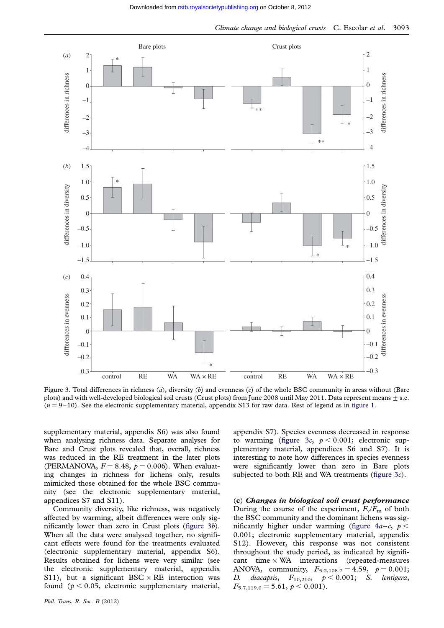<span id="page-7-0"></span>

Figure 3. Total differences in richness  $(a)$ , diversity  $(b)$  and evenness  $(c)$  of the whole BSC community in areas without (Bare plots) and with well-developed biological soil crusts (Crust plots) from June 2008 until May 2011. Data represent means+s.e.  $(n = 9 - 10)$ . See the electronic supplementary material, appendix S13 for raw data. Rest of legend as in [figure 1](#page-5-0).

control RE WA WA × RE control RE WA WA × RE

supplementary material, appendix S6) was also found when analysing richness data. Separate analyses for Bare and Crust plots revealed that, overall, richness was reduced in the RE treatment in the later plots (PERMANOVA,  $F = 8.48$ ,  $p = 0.006$ ). When evaluating changes in richness for lichens only, results mimicked those obtained for the whole BSC community (see the electronic supplementary material, appendices S7 and S11).

Community diversity, like richness, was negatively affected by warming, albeit differences were only significantly lower than zero in Crust plots (figure 3b). When all the data were analysed together, no significant effects were found for the treatments evaluated (electronic supplementary material, appendix S6). Results obtained for lichens were very similar (see the electronic supplementary material, appendix S11), but a significant BSC  $\times$  RE interaction was found ( $p < 0.05$ , electronic supplementary material,

appendix S7). Species evenness decreased in response to warming (figure  $3c$ ,  $p < 0.001$ ; electronic supplementary material, appendices S6 and S7). It is interesting to note how differences in species evenness were significantly lower than zero in Bare plots subjected to both RE and WA treatments (figure 3c).

(c) Changes in biological soil crust performance During the course of the experiment,  $F_v/F_m$  of both the BSC community and the dominant lichens was significantly higher under warming (figure  $4a-c$ ,  $p <$ 0.001; electronic supplementary material, appendix S12). However, this response was not consistent throughout the study period, as indicated by significant  $time \times WA$  interactions (repeated-measures ANOVA, community,  $F_{5.2,108.7} = 4.59$ ,  $p = 0.001$ ; D. diacapsis,  $F_{10,210}$ ,  $p < 0.001$ ; S. lentigera,  $F_{5.7,119.0} = 5.61, p < 0.001$ .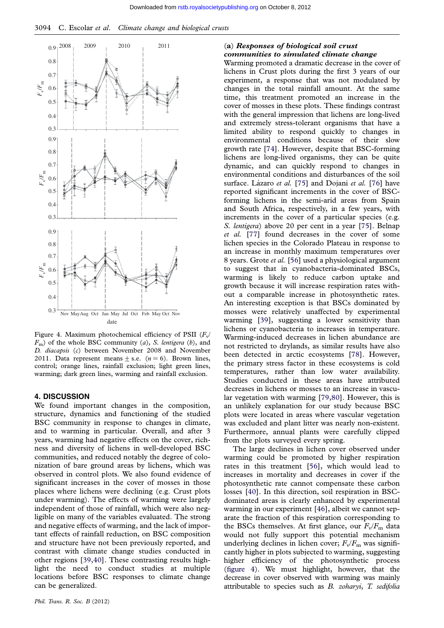<span id="page-8-0"></span>3094 C. Escolar et al. Climate change and biological crusts



Figure 4. Maximum photochemical efficiency of PSII  $(F_v)'$  $F<sub>m</sub>$ ) of the whole BSC community (a), S. lentigera (b), and D. diacapsis (c) between November 2008 and November 2011. Data represent means  $\pm$  s.e. (n = 6). Brown lines, control; orange lines, rainfall exclusion; light green lines, warming; dark green lines, warming and rainfall exclusion.

## 4. DISCUSSION

We found important changes in the composition, structure, dynamics and functioning of the studied BSC community in response to changes in climate, and to warming in particular. Overall, and after 3 years, warming had negative effects on the cover, richness and diversity of lichens in well-developed BSC communities, and reduced notably the degree of colonization of bare ground areas by lichens, which was observed in control plots. We also found evidence of significant increases in the cover of mosses in those places where lichens were declining (e.g. Crust plots under warming). The effects of warming were largely independent of those of rainfall, which were also negligible on many of the variables evaluated. The strong and negative effects of warming, and the lack of important effects of rainfall reduction, on BSC composition and structure have not been previously reported, and contrast with climate change studies conducted in other regions [\[39,40](#page-12-0)]. These contrasting results highlight the need to conduct studies at multiple locations before BSC responses to climate change can be generalized.

## (a) Responses of biological soil crust communities to simulated climate change

Warming promoted a dramatic decrease in the cover of lichens in Crust plots during the first 3 years of our experiment, a response that was not modulated by changes in the total rainfall amount. At the same time, this treatment promoted an increase in the cover of mosses in these plots. These findings contrast with the general impression that lichens are long-lived and extremely stress-tolerant organisms that have a limited ability to respond quickly to changes in environmental conditions because of their slow growth rate [\[74](#page-13-0)]. However, despite that BSC-forming lichens are long-lived organisms, they can be quite dynamic, and can quickly respond to changes in environmental conditions and disturbances of the soil surface. Lázaro et al. [\[75](#page-13-0)] and Dojani et al. [[76\]](#page-13-0) have reported significant increments in the cover of BSCforming lichens in the semi-arid areas from Spain and South Africa, respectively, in a few years, with increments in the cover of a particular species (e.g. S. lentigera) above 20 per cent in a year [\[75](#page-13-0)]. Belnap et al. [\[77](#page-13-0)] found decreases in the cover of some lichen species in the Colorado Plateau in response to an increase in monthly maximum temperatures over 8 years. Grote et al. [\[56](#page-12-0)] used a physiological argument to suggest that in cyanobacteria-dominated BSCs, warming is likely to reduce carbon uptake and growth because it will increase respiration rates without a comparable increase in photosynthetic rates. An interesting exception is that BSCs dominated by mosses were relatively unaffected by experimental warming [[39\]](#page-12-0), suggesting a lower sensitivity than lichens or cyanobacteria to increases in temperature. Warming-induced decreases in lichen abundance are not restricted to drylands, as similar results have also been detected in arctic ecosystems [\[78](#page-13-0)]. However, the primary stress factor in these ecosystems is cold temperatures, rather than low water availability. Studies conducted in these areas have attributed decreases in lichens or mosses to an increase in vascular vegetation with warming [[79,80\]](#page-13-0). However, this is an unlikely explanation for our study because BSC plots were located in areas where vascular vegetation was excluded and plant litter was nearly non-existent. Furthermore, annual plants were carefully clipped from the plots surveyed every spring.

The large declines in lichen cover observed under warming could be promoted by higher respiration rates in this treatment [[56\]](#page-12-0), which would lead to increases in mortality and decreases in cover if the photosynthetic rate cannot compensate these carbon losses [\[40](#page-12-0)]. In this direction, soil respiration in BSCdominated areas is clearly enhanced by experimental warming in our experiment [[46\]](#page-12-0), albeit we cannot separate the fraction of this respiration corresponding to the BSCs themselves. At first glance, our  $F_v/F_m$  data would not fully support this potential mechanism underlying declines in lichen cover;  $F_v/F_m$  was significantly higher in plots subjected to warming, suggesting higher efficiency of the photosynthetic process (figure 4). We must highlight, however, that the decrease in cover observed with warming was mainly attributable to species such as B. zoharyi, T. sedifolia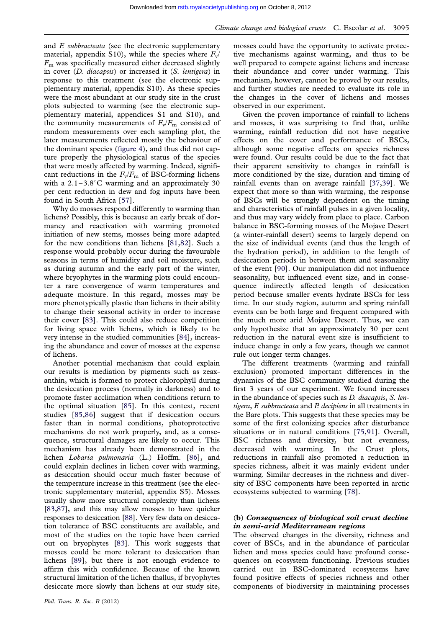and  $F.$  subbracteata (see the electronic supplementary material, appendix S10), while the species where  $F_v$  $F<sub>m</sub>$  was specifically measured either decreased slightly in cover (D. diacapsis) or increased it (S. lentigera) in response to this treatment (see the electronic supplementary material, appendix S10). As these species were the most abundant at our study site in the crust plots subjected to warming (see the electronic supplementary material, appendices S1 and S10), and the community measurements of  $F_v/F_m$  consisted of random measurements over each sampling plot, the later measurements reflected mostly the behaviour of the dominant species ([figure 4](#page-8-0)), and thus did not capture properly the physiological status of the species that were mostly affected by warming. Indeed, significant reductions in the  $F_v/F_m$  of BSC-forming lichens with a  $2.1 - 3.8$ °C warming and an approximately 30 per cent reduction in dew and fog inputs have been found in South Africa [[57\]](#page-12-0).

Why do mosses respond differently to warming than lichens? Possibly, this is because an early break of dormancy and reactivation with warming promoted initiation of new stems, mosses being more adapted for the new conditions than lichens [[81,82\]](#page-13-0). Such a response would probably occur during the favourable seasons in terms of humidity and soil moisture, such as during autumn and the early part of the winter, where bryophytes in the warming plots could encounter a rare convergence of warm temperatures and adequate moisture. In this regard, mosses may be more phenotypically plastic than lichens in their ability to change their seasonal activity in order to increase their cover [[83](#page-13-0)]. This could also reduce competition for living space with lichens, which is likely to be very intense in the studied communities [\[84](#page-13-0)], increasing the abundance and cover of mosses at the expense of lichens.

Another potential mechanism that could explain our results is mediation by pigments such as zeaxanthin, which is formed to protect chlorophyll during the desiccation process (normally in darkness) and to promote faster acclimation when conditions return to the optimal situation [[85\]](#page-13-0). In this context, recent studies [[85,86\]](#page-13-0) suggest that if desiccation occurs faster than in normal conditions, photoprotective mechanisms do not work properly, and, as a consequence, structural damages are likely to occur. This mechanism has already been demonstrated in the lichen Lobaria pulmonaria (L.) Hoffm. [[86\]](#page-13-0), and could explain declines in lichen cover with warming, as desiccation should occur much faster because of the temperature increase in this treatment (see the electronic supplementary material, appendix S5). Mosses usually show more structural complexity than lichens [[83,87](#page-13-0)], and this may allow mosses to have quicker responses to desiccation [\[88](#page-13-0)]. Very few data on desiccation tolerance of BSC constituents are available, and most of the studies on the topic have been carried out on bryophytes [\[83](#page-13-0)]. This work suggests that mosses could be more tolerant to desiccation than lichens [[89\]](#page-13-0), but there is not enough evidence to affirm this with confidence. Because of the known structural limitation of the lichen thallus, if bryophytes desiccate more slowly than lichens at our study site,

mosses could have the opportunity to activate protective mechanisms against warming, and thus to be well prepared to compete against lichens and increase their abundance and cover under warming. This mechanism, however, cannot be proved by our results, and further studies are needed to evaluate its role in the changes in the cover of lichens and mosses observed in our experiment.

Given the proven importance of rainfall to lichens and mosses, it was surprising to find that, unlike warming, rainfall reduction did not have negative effects on the cover and performance of BSCs, although some negative effects on species richness were found. Our results could be due to the fact that their apparent sensitivity to changes in rainfall is more conditioned by the size, duration and timing of rainfall events than on average rainfall [[37,39\]](#page-12-0). We expect that more so than with warming, the response of BSCs will be strongly dependent on the timing and characteristics of rainfall pulses in a given locality, and thus may vary widely from place to place. Carbon balance in BSC-forming mosses of the Mojave Desert (a winter-rainfall desert) seems to largely depend on the size of individual events (and thus the length of the hydration period), in addition to the length of desiccation periods in between them and seasonality of the event [[90\]](#page-13-0). Our manipulation did not influence seasonality, but influenced event size, and in consequence indirectly affected length of desiccation period because smaller events hydrate BSCs for less time. In our study region, autumn and spring rainfall events can be both large and frequent compared with the much more arid Mojave Desert. Thus, we can only hypothesize that an approximately 30 per cent reduction in the natural event size is insufficient to induce change in only a few years, though we cannot rule out longer term changes.

The different treatments (warming and rainfall exclusion) promoted important differences in the dynamics of the BSC community studied during the first 3 years of our experiment. We found increases in the abundance of species such as D. diacapsis, S. lentigera, F. subbracteata and P. decipiens in all treatments in the Bare plots. This suggests that these species may be some of the first colonizing species after disturbance situations or in natural conditions [[75,91\]](#page-13-0). Overall, BSC richness and diversity, but not evenness, decreased with warming. In the Crust plots, reductions in rainfall also promoted a reduction in species richness, albeit it was mainly evident under warming. Similar decreases in the richness and diversity of BSC components have been reported in arctic ecosystems subjected to warming [[78\]](#page-13-0).

## (b) Consequences of biological soil crust decline in semi-arid Mediterranean regions

The observed changes in the diversity, richness and cover of BSCs, and in the abundance of particular lichen and moss species could have profound consequences on ecosystem functioning. Previous studies carried out in BSC-dominated ecosystems have found positive effects of species richness and other components of biodiversity in maintaining processes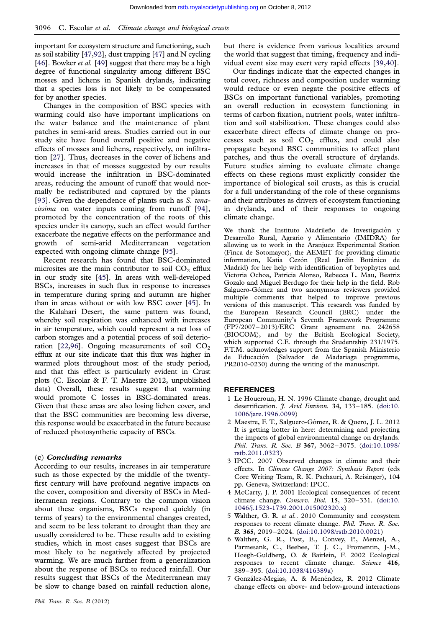<span id="page-10-0"></span>important for ecosystem structure and functioning, such as soil stability [\[47](#page-12-0),[92\]](#page-13-0), dust trapping [\[47\]](#page-12-0) and N cycling [\[46\]](#page-12-0). Bowker *et al.* [\[49\]](#page-12-0) suggest that there may be a high degree of functional singularity among different BSC mosses and lichens in Spanish drylands, indicating that a species loss is not likely to be compensated for by another species.

Changes in the composition of BSC species with warming could also have important implications on the water balance and the maintenance of plant patches in semi-arid areas. Studies carried out in our study site have found overall positive and negative effects of mosses and lichens, respectively, on infiltration [[27\]](#page-11-0). Thus, decreases in the cover of lichens and increases in that of mosses suggested by our results would increase the infiltration in BSC-dominated areas, reducing the amount of runoff that would normally be redistributed and captured by the plants [\[93](#page-13-0)]. Given the dependence of plants such as S. tenacissima on water inputs coming from runoff [[94\]](#page-13-0), promoted by the concentration of the roots of this species under its canopy, such an effect would further exacerbate the negative effects on the performance and growth of semi-arid Mediterranean vegetation expected with ongoing climate change [\[95](#page-13-0)].

Recent research has found that BSC-dominated microsites are the main contributor to soil  $CO<sub>2</sub>$  efflux in our study site [[45](#page-12-0)]. In areas with well-developed BSCs, increases in such flux in response to increases in temperature during spring and autumn are higher than in areas without or with low BSC cover [[45](#page-12-0)]. In the Kalahari Desert, the same pattern was found, whereby soil respiration was enhanced with increases in air temperature, which could represent a net loss of carbon storages and a potential process of soil deterio-ration [[22,](#page-11-0)[96](#page-13-0)]. Ongoing measurements of soil  $CO<sub>2</sub>$ efflux at our site indicate that this flux was higher in warmed plots throughout most of the study period, and that this effect is particularly evident in Crust plots (C. Escolar & F. T. Maestre 2012, unpublished data) Overall, these results suggest that warming would promote C losses in BSC-dominated areas. Given that these areas are also losing lichen cover, and that the BSC communities are becoming less diverse, this response would be exacerbated in the future because of reduced photosynthetic capacity of BSCs.

#### (c) Concluding remarks

According to our results, increases in air temperature such as those expected by the middle of the twentyfirst century will have profound negative impacts on the cover, composition and diversity of BSCs in Mediterranean regions. Contrary to the common vision about these organisms, BSCs respond quickly (in terms of years) to the environmental changes created, and seem to be less tolerant to drought than they are usually considered to be. These results add to existing studies, which in most cases suggest that BSCs are most likely to be negatively affected by projected warming. We are much farther from a generalization about the response of BSCs to reduced rainfall. Our results suggest that BSCs of the Mediterranean may be slow to change based on rainfall reduction alone,

but there is evidence from various localities around the world that suggest that timing, frequency and individual event size may exert very rapid effects [[39,40\]](#page-12-0).

Our findings indicate that the expected changes in total cover, richness and composition under warming would reduce or even negate the positive effects of BSCs on important functional variables, promoting an overall reduction in ecosystem functioning in terms of carbon fixation, nutrient pools, water infiltration and soil stabilization. These changes could also exacerbate direct effects of climate change on processes such as soil  $CO<sub>2</sub>$  efflux, and could also propagate beyond BSC communities to affect plant patches, and thus the overall structure of drylands. Future studies aiming to evaluate climate change effects on these regions must explicitly consider the importance of biological soil crusts, as this is crucial for a full understanding of the role of these organisms and their attributes as drivers of ecosystem functioning in drylands, and of their responses to ongoing climate change.

We thank the Instituto Madrileño de Investigación y Desarrollo Rural, Agrario y Alimentario (IMIDRA) for allowing us to work in the Aranjuez Experimental Station (Finca de Sotomayor), the AEMET for providing climatic information, Katia Cezón (Real Jardín Botánico de Madrid) for her help with identification of bryophytes and Victoria Ochoa, Patricia Alonso, Rebecca L. Mau, Beatriz Gozalo and Miguel Berdugo for their help in the field. Rob Salguero-Gómez and two anonymous reviewers provided multiple comments that helped to improve previous versions of this manuscript. This research was funded by the European Research Council (ERC) under the European Community's Seventh Framework Programme (FP7/2007–2013)/ERC Grant agreement no. 242658 (BIOCOM), and by the British Ecological Society, which supported C.E. through the Studentship 231/1975. F.T.M. acknowledges support from the Spanish Ministerio de Educación (Salvador de Madariaga programme, PR2010-0230) during the writing of the manuscript.

#### **REFERENCES**

- 1 Le Houeroun, H. N. 1996 Climate change, drought and desertification. *J. Arid Environ*. 34, 133-185. ([doi:10.](http://dx.doi.org/10.1006/jare.1996.0099) [1006/jare.1996.0099\)](http://dx.doi.org/10.1006/jare.1996.0099)
- 2 Maestre, F. T., Salguero-Gómez, R. & Quero, J. L. 2012 It is getting hotter in here: determining and projecting the impacts of global environmental change on drylands. Phil. Trans. R. Soc. B 367, 3062-3075. [\(doi:10.1098/](http://dx.doi.org/10.1098/rstb.2011-0323.R1) [rstb.2011.0323](http://dx.doi.org/10.1098/rstb.2011-0323.R1))
- 3 IPCC. 2007 Observed changes in climate and their effects. In Climate Change 2007: Synthesis Report (eds Core Writing Team, R. K. Pachauri, A. Reisinger), 104 pp. Geneva, Switzerland: IPCC.
- 4 McCarty, J. P. 2001 Ecological consequences of recent climate change. Conserv. Biol. 15, 320 –331. ([doi:10.](http://dx.doi.org/10.1046/j.1523-1739.2001.015002320.x) [1046/j.1523-1739.2001.015002320.x](http://dx.doi.org/10.1046/j.1523-1739.2001.015002320.x))
- 5 Walther, G. R. et al.. 2010 Community and ecosystem responses to recent climate change. Phil. Trans. R. Soc. B. 365, 2019–2024. ([doi:10.1098/rstb.2010.0021\)](http://dx.doi.org/10.1098/rstb.2010.0021)
- 6 Walther, G. R., Post, E., Convey, P., Menzel, A., Parmesank, C., Beebee, T. J. C., Fromentin, J-M., Hoegh-Guldberg, O. & Bairlein, F. 2002 Ecological responses to recent climate change. Science 416, 389–395. [\(doi:10.1038/416389a\)](http://dx.doi.org/10.1038/416389a)
- 7 González-Megías, A. & Menéndez, R. 2012 Climate change effects on above- and below-ground interactions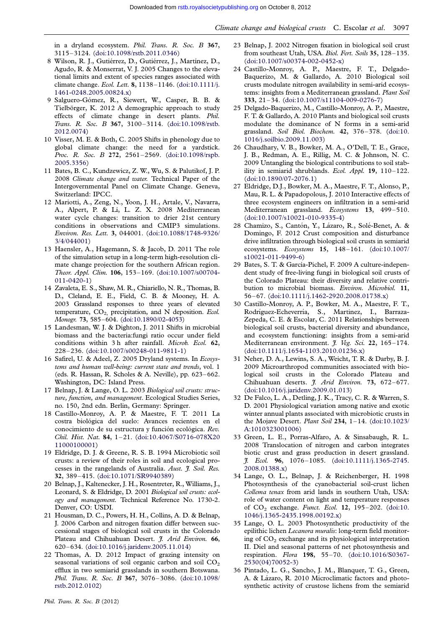<span id="page-11-0"></span>in a dryland ecosystem. Phil. Trans. R. Soc. B 367, 3115–3124. [\(doi:10.1098/rstb.2011.0346\)](http://dx.doi.org/10.1098/rstb.2011-0346.R3)

- 8 Wilson, R. J., Gutiérrez, D., Gutiérrez, J., Martínez, D., Agudo, R. & Monserrat, V. J. 2005 Changes to the elevational limits and extent of species ranges associated with climate change. Ecol. Lett. 8, 1138–1146. [\(doi:10.1111/j.](http://dx.doi.org/10.1111/j.1461-0248.2005.00824.x) [1461-0248.2005.00824.x\)](http://dx.doi.org/10.1111/j.1461-0248.2005.00824.x)
- 9 Salguero-Gómez, R., Siewert, W., Casper, B. B. & Tielbörger, K. 2012 A demographic approach to study effects of climate change in desert plants. Phil. Trans. R. Soc. B 367, 3100-3114. ([doi:10.1098/rstb.](http://dx.doi.org/10.1098/rstb.2012-0074.R2) [2012.0074](http://dx.doi.org/10.1098/rstb.2012-0074.R2))
- 10 Visser, M. E. & Both, C. 2005 Shifts in phenology due to global climate change: the need for a yardstick. Proc. R. Soc. B 272, 2561-2569. [\(doi:10.1098/rspb.](http://dx.doi.org/10.1098/rspb.2005.3356) [2005.3356\)](http://dx.doi.org/10.1098/rspb.2005.3356)
- 11 Bates, B. C., Kundzewicz, Z. W., Wu, S. & Palutikof, J. P. 2008 Climate change and water. Technical Paper of the Intergovernmental Panel on Climate Change. Geneva, Switzerland: IPCC.
- 12 Mariotti, A., Zeng, N., Yoon, J. H., Artale, V., Navarra, A., Alpert, P. & Li, L. Z. X. 2008 Mediterranean water cycle changes: transition to drier 21st century conditions in observations and CMIP3 simulations. Environ. Res. Lett. 3, 044001. [\(doi:10.1088/1748-9326/](http://dx.doi.org/10.1088/1748-9326/3/4/044001) [3/4/044001](http://dx.doi.org/10.1088/1748-9326/3/4/044001))
- 13 Haensler, A., Hagemann, S. & Jacob, D. 2011 The role of the simulation setup in a long-term high-resolution climate change projection for the southern African region. Theor. Appl. Clim. 106, 153–169. [\(doi:10.1007/s00704-](http://dx.doi.org/10.1007/s00704-011-0420-1) [011-0420-1\)](http://dx.doi.org/10.1007/s00704-011-0420-1)
- 14 Zavaleta, E. S., Shaw, M. R., Chiariello, N. R., Thomas, B. D., Cleland, E. E., Field, C. B. & Mooney, H. A. 2003 Grassland responses to three years of elevated temperature,  $CO<sub>2</sub>$ , precipitation, and N deposition. Ecol. Monogr. 73, 585–604. ([doi:10.1890/02-4053](http://dx.doi.org/10.1890/02-4053))
- 15 Landesman, W. J. & Dighton, J. 2011 Shifts in microbial biomass and the bacteria:fungi ratio occur under field conditions within 3 h after rainfall. Microb. Ecol. 62, 228 –236. ([doi:10.1007/s00248-011-9811-1\)](http://dx.doi.org/10.1007/s00248-011-9811-1)
- 16 Safirel, U. & Adeel, Z. 2005 Dryland systems. In Ecosystems and human well-being: current state and trends, vol. 1 (eds. R. Hassan, R. Scholes & A. Neville), pp. 623–662. Washington, DC: Island Press.
- 17 Belnap, J. & Lange, O. L. 2003 Biological soil crusts: structure, function, and management. Ecological Studies Series, no. 150, 2nd edn. Berlin, Germany: Springer.
- 18 Castillo-Monroy, A. P. & Maestre, F. T. 2011 La costra biológica del suelo: Avances recientes en el conocimiento de su estructura y función ecológica. Rev. Chil. Hist. Nat. 84, 1 –21. ([doi:10.4067/S0716-078X20](http://dx.doi.org/10.4067/S0716-078X2011000100001) [11000100001](http://dx.doi.org/10.4067/S0716-078X2011000100001))
- 19 Eldridge, D. J. & Greene, R. S. B. 1994 Microbiotic soil crusts: a review of their roles in soil and ecological processes in the rangelands of Australia. Aust. J. Soil. Res. 32, 389–415. ([doi:10.1071/SR9940389](http://dx.doi.org/10.1071/SR9940389))
- 20 Belnap, J., Kaltenecker, J. H., Rosentreter, R., Williams, J., Leonard, S. & Eldridge, D. 2001 Biological soil crusts: ecology and management. Technical Reference No. 1730-2. Denver, CO: USDI.
- 21 Housman, D. C., Powers, H. H., Collins, A. D. & Belnap, J. 2006 Carbon and nitrogen fixation differ between successional stages of biological soil crusts in the Colorado Plateau and Chihuahuan Desert. *J. Arid Environ.* 66, 620–634. ([doi:10.1016/j.jaridenv.2005.11.014\)](http://dx.doi.org/10.1016/j.jaridenv.2005.11.014)
- 22 Thomas, A. D. 2012 Impact of grazing intensity on seasonal variations of soil organic carbon and soil  $CO<sub>2</sub>$ efflux in two semiarid grasslands in southern Botswana. Phil. Trans. R. Soc. B 367, 3076–3086. ([doi:10.1098/](http://dx.doi.org/10.1098/rstb.2012.0102) [rstb.2012.0102](http://dx.doi.org/10.1098/rstb.2012.0102))
- 23 Belnap, J. 2002 Nitrogen fixation in biological soil crust from southeast Utah, USA. Biol. Fert. Soils 35, 128-135. ([doi:10.1007/s00374-002-0452-x](http://dx.doi.org/10.1007/s00374-002-0452-x))
- 24 Castillo-Monroy, A. P., Maestre, F. T., Delgado-Baquerizo, M. & Gallardo, A. 2010 Biological soil crusts modulate nitrogen availability in semi-arid ecosystems: insights from a Mediterranean grassland. Plant Soil 333, 21–34. [\(doi:10.1007/s11104-009-0276-7](http://dx.doi.org/10.1007/s11104-009-0276-7))
- 25 Delgado-Baquerizo, M., Castillo-Monroy, A. P., Maestre, F. T. & Gallardo, A. 2010 Plants and biological soil crusts modulate the dominance of N forms in a semi-arid grassland. Soil Biol. Biochem. 42, 376–378. [\(doi:10.](http://dx.doi.org/10.1016/j.soilbio.2009.11.003) [1016/j.soilbio.2009.11.003\)](http://dx.doi.org/10.1016/j.soilbio.2009.11.003)
- 26 Chaudhary, V. B., Bowker, M. A., O'Dell, T. E., Grace, J. B., Redman, A. E., Rillig, M. C. & Johnson, N. C. 2009 Untangling the biological contributions to soil stability in semiarid shrublands. Ecol. Appl. 19, 110-122. ([doi:10.1890/07-2076.1\)](http://dx.doi.org/10.1890/07-2076.1)
- 27 Eldridge, D.J., Bowker, M. A., Maestre, F. T., Alonso, P., Mau, R. L. & Papadopolous, J. 2010 Interactive effects of three ecosystem engineers on infiltration in a semi-arid Mediterranean grassland. Ecosystems 13, 499-510. ([doi:10.1007/s10021-010-9335-4\)](http://dx.doi.org/10.1007/s10021-010-9335-4)
- 28 Chamizo, S., Cantón, Y., Lázaro, R., Solé-Benet, A. & Domingo, F. 2012 Crust composition and disturbance drive infiltration through biological soil crusts in semiarid ecosystems. Ecosystems 15, 148–161. ([doi:10.1007/](http://dx.doi.org/10.1007/s10021-011-9499-6) [s10021-011-9499-6](http://dx.doi.org/10.1007/s10021-011-9499-6))
- 29 Bates, S. T. & García-Pichel, F. 2009 A culture-independent study of free-living fungi in biological soil crusts of the Colorado Plateau: their diversity and relative contribution to microbial biomass. Environ. Microbiol. 11, 56–67. ([doi:10.1111/j.1462-2920.2008.01738.x\)](http://dx.doi.org/10.1111/j.1462-2920.2008.01738.x)
- 30 Castillo-Monroy, A. P., Bowker, M. A., Maestre, F. T., Rodríguez-Echeverría, S., Martinez, I., Barraza-Zepeda, C. E. & Escolar, C. 2011 Relationships between biological soil crusts, bacterial diversity and abundance, and ecosystem functioning: insights from a semi-arid Mediterranean environment. J. Veg. Sci. 22, 165-174. ([doi:10.1111/j.1654-1103.2010.01236.x\)](http://dx.doi.org/10.1111/j.1654-1103.2010.01236.x)
- 31 Neher, D. A., Lewins, S. A., Weicht, T. R. & Darby, B. J. 2009 Microarthropod communities associated with biological soil crusts in the Colorado Plateau and Chihuahuan deserts. J. Arid Environ. 73, 672-677. ([doi:10.1016/j.jaridenv.2009.01.013](http://dx.doi.org/10.1016/j.jaridenv.2009.01.013))
- 32 De Falco, L. A., Detling, J. K., Tracy, C. R. & Warren, S. D. 2001 Physiological variation among native and exotic winter annual plants associated with microbiotic crusts in the Mojave Desert. *Plant Soil* 234,  $1-14$ . ([doi:10.1023/](http://dx.doi.org/10.1023/A:1010323001006) [A:1010323001006](http://dx.doi.org/10.1023/A:1010323001006))
- 33 Green, L. E., Porras-Alfaro, A. & Sinsabaugh, R. L. 2008 Translocation of nitrogen and carbon integrates biotic crust and grass production in desert grassland. J. Ecol. 96, 1076–1085. [\(doi:10.1111/j.1365-2745.](http://dx.doi.org/10.1111/j.1365-2745.2008.01388.x) [2008.01388.x\)](http://dx.doi.org/10.1111/j.1365-2745.2008.01388.x)
- 34 Lange, O. L., Belnap, J. & Reichenberger, H. 1998 Photosynthesis of the cyanobacterial soil-crust lichen Collema tenax from arid lands in southern Utah, USA: role of water content on light and temperature responses of  $CO<sub>2</sub>$  exchange. *Funct. Ecol.* 12, 195-202. [\(doi:10.](http://dx.doi.org/10.1046/j.1365-2435.1998.00192.x) [1046/j.1365-2435.1998.00192.x\)](http://dx.doi.org/10.1046/j.1365-2435.1998.00192.x)
- 35 Lange, O. L. 2003 Photosynthetic productivity of the epilithic lichen Lecanora muralis: long-term field monitoring of  $CO<sub>2</sub>$  exchange and its physiological interpretation II. Diel and seasonal patterns of net photosynthesis and respiration. Flora 198, 55–70. [\(doi:10.1016/S0367-](http://dx.doi.org/10.1016/S0367-2530(04)70052-3) [2530\(04\)70052-3](http://dx.doi.org/10.1016/S0367-2530(04)70052-3))
- 36 Pintado, L. G., Sancho, J. M., Blanquer, T. G., Green, A. & Lázaro, R. 2010 Microclimatic factors and photosynthetic activity of crustose lichens from the semiarid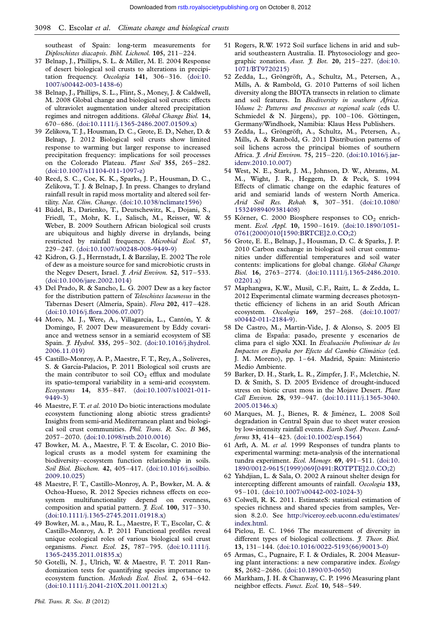<span id="page-12-0"></span>southeast of Spain: long-term measurements for Diploschistes diacapsis. Bibl. Lichenol. 105, 211–224.

- 37 Belnap, J., Phillips, S. L. & Miller, M. E. 2004 Response of desert biological soil crusts to alterations in precipitation frequency. Oecologia 141, 306-316. ([doi:10.](http://dx.doi.org/10.1007/s00442-003-1438-6) [1007/s00442-003-1438-6](http://dx.doi.org/10.1007/s00442-003-1438-6))
- 38 Belnap, J., Phillips, S. L., Flint, S., Money, J. & Caldwell, M. 2008 Global change and biological soil crusts: effects of ultraviolet augmentation under altered precipitation regimes and nitrogen additions. Global Change Biol. 14, 670–686. ([doi:10.1111/j.1365-2486.2007.01509.x\)](http://dx.doi.org/10.1111/j.1365-2486.2007.01509.x)
- 39 Zelikova, T. J., Housman, D. C., Grote, E. D., Neher, D. & Belnap, J. 2012 Biological soil crusts show limited response to warming but larger response to increased precipitation frequency: implications for soil processes on the Colorado Plateau. Plant Soil 355, 265-282. [\(doi:10.1007/s11104-011-1097-z](http://dx.doi.org/10.1007/s11104-011-1097-z))
- 40 Reed, S. C., Coe, K. K., Sparks, J. P., Housman, D. C., Zelikova, T. J. & Belnap, J. In press. Changes to dryland rainfall result in rapid moss mortality and altered soil fertility. Nat. Clim. Change. [\(doi:10.1038/nclimate1596\)](http://dx.doi.org/10.1038/nclimate1596)
- 41 Büdel, B., Darienko, T., Deutschewitz, K., Dojani, S., Friedl, T., Mohr, K. I., Salisch, M., Reisser, W. & Weber, B. 2009 Southern African biological soil crusts are ubiquitous and highly diverse in drylands, being restricted by rainfall frequency. Microbial Ecol. 57, 229–247. ([doi:10.1007/s00248-008-9449-9\)](http://dx.doi.org/10.1007/s00248-008-9449-9)
- 42 Kidron, G. J., Herrnstadt, I. & Barzilay, E. 2002 The role of dew as a moisture source for sand microbiotic crusts in the Negev Desert, Israel. J. Arid Environ. 52, 517-533. [\(doi:10.1006/jare.2002.1014](http://dx.doi.org/10.1006/jare.2002.1014))
- 43 Del Prado, R. & Sancho, L. G. 2007 Dew as a key factor for the distribution pattern of Teloschistes lacunosus in the Tabernas Desert (Almería, Spain). Flora 202, 417-428. [\(doi:10.1016/j.flora.2006.07.007](http://dx.doi.org/10.1016/j.flora.2006.07.007))
- 44 Moro, M. J., Were, A., Villagarcía, L., Cantón, Y. & Domingo, F. 2007 Dew measurement by Eddy covariance and wetness sensor in a semiarid ecosystem of SE Spain. *J. Hydrol.* 335, 295-302. [\(doi:10.1016/j.jhydrol.](http://dx.doi.org/10.1016/j.jhydrol.2006.11.019) [2006.11.019\)](http://dx.doi.org/10.1016/j.jhydrol.2006.11.019)
- 45 Castillo-Monroy, A. P., Maestre, F. T., Rey, A., Soliveres, S. & García-Palacios, P. 2011 Biological soil crusts are the main contributor to soil  $CO<sub>2</sub>$  efflux and modulate its spatio-temporal variability in a semi-arid ecosystem. Ecosystems 14, 835–847. [\(doi:10.1007/s10021-011-](http://dx.doi.org/10.1007/s10021-011-9449-3) [9449-3\)](http://dx.doi.org/10.1007/s10021-011-9449-3)
- 46 Maestre, F. T. et al. 2010 Do biotic interactions modulate ecosystem functioning along abiotic stress gradients? Insights from semi-arid Mediterranean plant and biological soil crust communities. Phil. Trans. R. Soc. B 365, 2057–2070. ([doi:10.1098/rstb.2010.0016](http://dx.doi.org/10.1098/rstb.2010.0016))
- 47 Bowker, M. A., Maestre, F. T. & Escolar, C. 2010 Biological crusts as a model system for examining the biodiversity–ecosystem function relationship in soils. Soil Biol. Biochem. 42, 405-417. [\(doi:10.1016/j.soilbio.](http://dx.doi.org/10.1016/j.soilbio.2009.10.025) [2009.10.025\)](http://dx.doi.org/10.1016/j.soilbio.2009.10.025)
- 48 Maestre, F. T., Castillo-Monroy, A. P., Bowker, M. A. & Ochoa-Hueso, R. 2012 Species richness effects on ecosystem multifunctionality depend on evenness, composition and spatial pattern.  $\tilde{f}$ . Ecol. 100, 317-330. [\(doi:10.1111/j.1365-2745.2011.01918.x](http://dx.doi.org/10.1111/j.1365-2745.2011.01918.x))
- 49 Bowker, M. a., Mau, R. L., Maestre, F. T., Escolar, C. & Castillo-Monroy, A. P. 2011 Functional profiles reveal unique ecological roles of various biological soil crust organisms. Funct. Ecol. 25, 787–795. [\(doi:10.1111/j.](http://dx.doi.org/10.1111/j.1365-2435.2011.01835.x) [1365-2435.2011.01835.x\)](http://dx.doi.org/10.1111/j.1365-2435.2011.01835.x)
- 50 Gotelli, N. J., Ulrich, W. & Maestre, F. T. 2011 Randomization tests for quantifying species importance to ecosystem function. Methods Ecol. Evol. 2, 634-642. [\(doi:10.1111/j.2041-210X.2011.00121.x](http://dx.doi.org/10.1111/j.2041-210X.2011.00121.x))
- 51 Rogers, R.W. 1972 Soil surface lichens in arid and subarid southeastern Australia. II. Phytosociology and geographic zonation. Aust.  $J.$  Bot. 20, 215-227. ([doi:10.](http://dx.doi.org/10.1071/BT9720215) [1071/BT9720215\)](http://dx.doi.org/10.1071/BT9720215)
- 52 Zedda, L., Gröngröft, A., Schultz, M., Petersen, A., Mills, A. & Rambold, G. 2010 Patterns of soil lichen diversity along the BIOTA transects in relation to climate and soil features. In Biodiversity in southern Africa. Volume 2: Patterns and processes at regional scale (eds U. Schmiedel & N. Jürgens), pp. 100-106. Göttingen, Germany/Windhoek, Namibia: Klaus Hess Publishers.
- 53 Zedda, L., Gröngröft, A., Schultz, M., Petersen, A., Mills, A. & Rambold, G. 2011 Distribution patterns of soil lichens across the principal biomes of southern Africa. J. Arid Environ. 75, 215-220. [\(doi:10.1016/j.jar](http://dx.doi.org/10.1016/j.jaridenv.2010.10.007)[idenv.2010.10.007\)](http://dx.doi.org/10.1016/j.jaridenv.2010.10.007)
- 54 West, N. E., Stark, J. M., Johnson, D. W., Abrams, M. M., Wight, J. R., Heggem, D. & Peck, S. 1994 Effects of climatic change on the edaphic features of arid and semiarid lands of western North America. Arid Soil Res. Rehab. 8, 307–351. [\(doi:10.1080/](http://dx.doi.org/10.1080/15324989409381408) [15324989409381408](http://dx.doi.org/10.1080/15324989409381408))
- 55 Körner, C. 2000 Biosphere responses to  $CO<sub>2</sub>$  enrichment. Ecol. Appl. 10, 1590–1619. [\(doi:10.1890/1051-](http://dx.doi.org/10.1890/1051-0761(2000)010[1590:BRTCE]2.0.CO;2) [0761\(2000\)010\[1590:BRTCE\]2.0.CO;2\)](http://dx.doi.org/10.1890/1051-0761(2000)010[1590:BRTCE]2.0.CO;2)
- 56 Grote, E. E., Belnap, J., Housman, D. C. & Sparks, J. P. 2010 Carbon exchange in biological soil crust communities under differential temperatures and soil water contents: implications for global change. Global Change Biol. 16, 2763–2774. [\(doi:10.1111/j.1365-2486.2010.](http://dx.doi.org/10.1111/j.1365-2486.2010.02201.x)  $02201.x$
- 57 Maphangwa, K.W., Musil, C.F., Raitt, L. & Zedda, L. 2012 Experimental climate warming decreases photosynthetic efficiency of lichens in an arid South African ecosystem. Oecologia 169, 257–268. [\(doi:10.1007/](http://dx.doi.org/10.1007/s00442-011-2184-9) [s00442-011-2184-9\)](http://dx.doi.org/10.1007/s00442-011-2184-9).
- 58 De Castro, M., Martín-Vide, J. & Alonso, S. 2005 El clima de España: pasado, presente y escenarios de clima para el siglo XXI. In Evaluación Preliminar de los Impactos en España por Efecto del Cambio Climático (ed. J. M. Moreno), pp. 1–64. Madrid, Spain: Ministerio Medio Ambiente.
- 59 Barker, D. H., Stark, L. R., Zimpfer, J. F., Mcletchie, N. D. & Smith, S. D. 2005 Evidence of drought-induced stress on biotic crust moss in the Mojave Desert. Plant Cell Environ. 28, 939–947. ([doi:10.1111/j.1365-3040.](http://dx.doi.org/10.1111/j.1365-3040.2005.01346.x) [2005.01346.x](http://dx.doi.org/10.1111/j.1365-3040.2005.01346.x))
- 60 Marques, M. J., Bienes, R. & Jiménez, L. 2008 Soil degradation in Central Spain due to sheet water erosion by low-intensity rainfall events. Earth Surf. Process. Landforms 33, 414–423. ([doi:10.1002/esp.1564\)](http://dx.doi.org/10.1002/esp.1564)
- 61 Arft, A. M. et al. 1999 Responses of tundra plants to experimental warming: meta-analysis of the international tundra experiment. Ecol. Monogr. 69, 491-511. ([doi:10.](http://dx.doi.org/10.1890/0012-9615(1999)069[0491:ROTPTE]2.0.CO;2) [1890/0012-9615\(1999\)069\[0491:ROTPTE\]2.0.CO;2\)](http://dx.doi.org/10.1890/0012-9615(1999)069[0491:ROTPTE]2.0.CO;2)
- 62 Yahdjian, L. & Sala, O. 2002 A rainout shelter design for intercepting different amounts of rainfall. Oecologia 133, 95–101. ([doi:10.1007/s00442-002-1024-3\)](http://dx.doi.org/10.1007/s00442-002-1024-3)
- 63 Colwell, R. K. 2011. EstimateS: statistical estimation of species richness and shared species from samples, Version 8.2.0. See [http://viceroy.eeb.uconn.edu/estimates/](http://viceroy.eeb.uconn.edu/estimates/index.html) [index.html.](http://viceroy.eeb.uconn.edu/estimates/index.html)
- 64 Pielou, E. C. 1966 The measurement of diversity in different types of biological collections. *J. Theor. Biol.* 13, 131 –144. ([doi:10.1016/0022-5193\(66\)90013-0\)](http://dx.doi.org/10.1016/0022-5193(66)90013-0)
- 65 Armas, C., Pugnaire, F. I. & Ordiales, R. 2004 Measuring plant interactions: a new comparative index. Ecology 85, 2682 –2686. ([doi:10.1890/03-0650\)](http://dx.doi.org/10.1890/03-0650)
- 66 Markham, J. H. & Chanway, C. P. 1996 Measuring plant neighbor effects. Funct. Ecol. 10, 548-549.